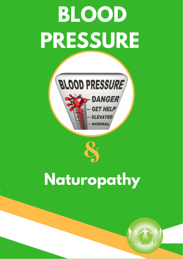# **BLOOD PRESSURE**





&

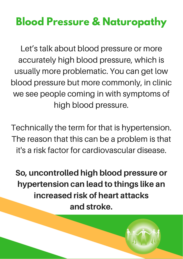# **Blood Pressure & Naturopathy**

Let's talk about blood pressure or more accurately high blood pressure, which is usually more problematic. You can get low blood pressure but more commonly, in clinic we see people coming in with symptoms of high blood pressure.

Technically the term for that is hypertension. The reason that this can be a problem is that it's a risk factor for cardiovascular disease.

So, uncontrolled high blood pressure or hypertension can lead to things like an increased risk of heart attacks and stroke.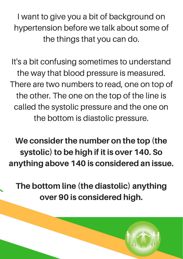I want to give you a bit of background on hypertension before we talk about some of the things that you can do.

It's a bit confusing sometimes to understand the way that blood pressure is measured. There are two numbers to read, one on top of the other. The one on the top of the line is called the systolic pressure and the one on the bottom is diastolic pressure.

We consider the number on the top (the systolic) to be high if it is over 140. So anything above 140 is considered an issue.

The bottom line (the diastolic) anything over 90 is considered high.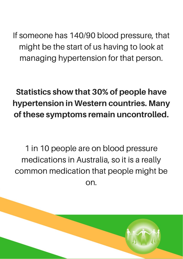If someone has 140/90 blood pressure, that might be the start of us having to look at managing hypertension for that person.

# Statistics show that 30% of people have hypertension in Western countries. Many of these symptoms remain uncontrolled.

1 in 10 people are on blood pressure medications in Australia, so it is a really common medication that people might be on.

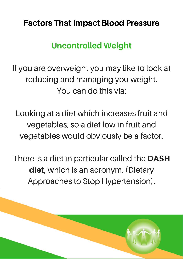#### Factors That Impact Blood Pressure

#### Uncontrolled Weight

If you are overweight you may like to look at reducing and managing you weight. You can do this via:

Looking at a diet which increases fruit and vegetables, so a diet low in fruit and vegetables would obviously be a factor.

There is a diet in particular called the DASH diet, which is an acronym, (Dietary Approaches to Stop Hypertension).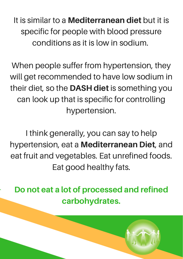It is similar to a **Mediterranean diet** but it is specific for people with blood pressure conditions as it is low in sodium.

When people suffer from hypertension, they will get recommended to have low sodium in their diet, so the DASH diet is something you can look up that is specific for controlling hypertension.

I think generally, you can say to help hypertension, eat a Mediterranean Diet, and eat fruit and vegetables. Eat unrefined foods. Eat good healthy fats.

Do not eat a lot of processed and refined carbohydrates.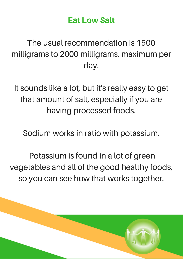#### Eat Low Salt

The usual recommendation is 1500 milligrams to 2000 milligrams, maximum per day.

It sounds like a lot, but it's really easy to get that amount of salt, especially if you are having processed foods.

Sodium works in ratio with potassium.

Potassium is found in a lot of green vegetables and all of the good healthy foods, so you can see how that works together.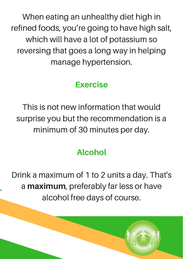When eating an unhealthy diet high in refined foods, you're going to have high salt, which will have a lot of potassium so reversing that goes a long way in helping manage hypertension.

#### Exercise

This is not new information that would surprise you but the recommendation is a minimum of 30 minutes per day.

# Alcohol

Drink a maximum of 1 to 2 units a day. That's a maximum, preferably far less or have alcohol free days of course.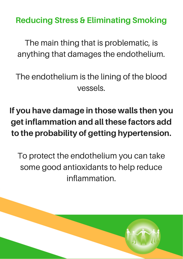Reducing Stress & Eliminating Smoking

The main thing that is problematic, is anything that damages the endothelium.

The endothelium is the lining of the blood vessels.

# If you have damage in those walls then you get inflammation and all these factors add to the probability of getting hypertension.

To protect the endothelium you can take some good antioxidants to help reduce inflammation.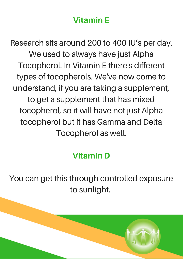### Vitamin E

Research sits around 200 to 400 IU's per day. We used to always have just Alpha Tocopherol. In Vitamin E there's different types of tocopherols. We've now come to understand, if you are taking a supplement, to get a supplement that has mixed tocopherol, so it will have not just Alpha tocopherol but it has Gamma and Delta Tocopherol as well.

#### Vitamin D

You can get this through controlled exposure to sunlight.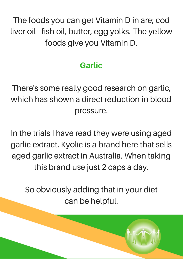The foods you can get Vitamin D in are; cod liver oil - fish oil, butter, egg yolks. The yellow foods give you Vitamin D.

# **Garlic**

There's some really good research on garlic, which has shown a direct reduction in blood pressure.

In the trials I have read they were using aged garlic extract. Kyolic is a brand here that sells aged garlic extract in Australia. When taking this brand use just 2 caps a day.

So obviously adding that in your diet can be helpful.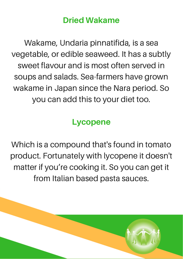#### Dried Wakame

Wakame, Undaria pinnatifida, is a sea vegetable, or edible seaweed. It has a subtly sweet flavour and is most often served in soups and salads. Sea-farmers have grown wakame in Japan since the Nara period. So you can add this to your diet too.

#### Lycopene

Which is a compound that's found in tomato product. Fortunately with lycopene it doesn't matter if you're cooking it. So you can get it from Italian based pasta sauces.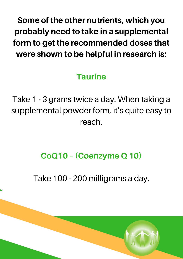Some of the other nutrients, which you probably need to take in a supplemental form to get the recommended doses that were shown to be helpful in research is:

## **Taurine**

Take 1 - 3 grams twice a day. When taking a supplemental powder form, it's quite easy to reach.

# CoQ10 – (Coenzyme Q 10)

Take 100 - 200 milligrams a day.

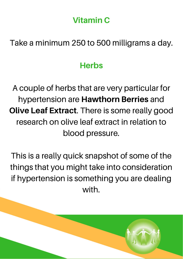### Vitamin C

Take a minimum 250 to 500 milligrams a day.

#### **Herbs**

A couple of herbs that are very particular for hypertension are Hawthorn Berries and **Olive Leaf Extract.** There is some really good research on olive leaf extract in relation to blood pressure.

This is a really quick snapshot of some of the things that you might take into consideration if hypertension is something you are dealing with.